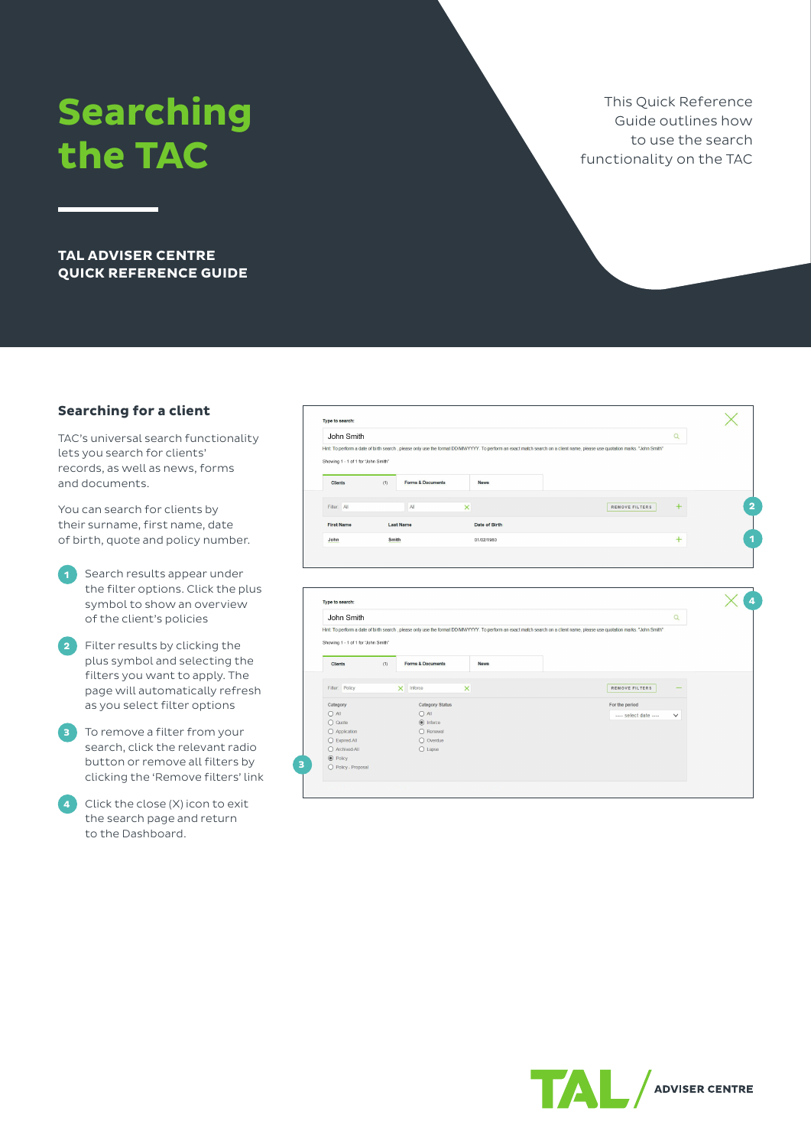# **Searching the TAC**

This Quick Reference Guide outlines how to use the search functionality on the TAC

**TAL ADVISER CENTRE QUICK REFERENCE GUIDE**

## **Searching for a client**

TAC's universal search functionality lets you search for clients' records, as well as news, forms and documents.

You can search for clients by their surname, first name, date of birth, quote and policy number.

- **1** Search results appear under the filter options. Click the plus symbol to show an overview of the client's policies
- **2** Filter results by clicking the plus symbol and selecting the filters you want to apply. The page will automatically refresh as you select filter options
- **3** To remove a filter from your search, click the relevant radio button or remove all filters by clicking the 'Remove filters' link
- **4** Click the close (X) icon to exit the search page and return to the Dashboard.

| John Smith                          |       |                              |               |                                                                                                                                                                              |                       | $\alpha$     |
|-------------------------------------|-------|------------------------------|---------------|------------------------------------------------------------------------------------------------------------------------------------------------------------------------------|-----------------------|--------------|
| Showing 1 - 1 of 1 for 'John Smith' |       |                              |               | Hint: To perform a date of birth search , please only use the format DD/MM/YYYY. To perform an exact match search on a client name, please use quotation marks. "John Smith" |                       |              |
| <b>Clients</b>                      | (1)   | <b>Forms &amp; Documents</b> | <b>News</b>   |                                                                                                                                                                              |                       |              |
| Filter: All                         |       | All                          | $\times$      |                                                                                                                                                                              | <b>REMOVE FILTERS</b> | $\ddot{}$    |
| <b>First Name</b>                   |       | <b>Last Name</b>             | Date of Birth |                                                                                                                                                                              |                       |              |
| John                                | Smith |                              | 01/02/1980    |                                                                                                                                                                              |                       | $+$          |
| Type to search:<br>John Smith       |       |                              |               |                                                                                                                                                                              |                       | $\alpha$     |
| Showing 1 - 1 of 1 for 'John Smith' |       |                              |               | Hint: To perform a date of birth search , please only use the format DD/MM/YYYY. To perform an exact match search on a client name, please use quotation marks. "John Smith" |                       |              |
| <b>Clients</b>                      | (1)   | <b>Forms &amp; Documents</b> | <b>News</b>   |                                                                                                                                                                              |                       |              |
| Filter: Policy                      |       | $\times$ Inforce             | $\times$      |                                                                                                                                                                              | REMOVE FILTERS        |              |
| Category                            |       | Category Status              |               |                                                                                                                                                                              | For the period        |              |
| O All                               |       | O All                        |               |                                                                                                                                                                              | select date           | $\checkmark$ |
| $O$ Quote                           |       | $\odot$ Inforce              |               |                                                                                                                                                                              |                       |              |
| O Application                       |       | O Renewal                    |               |                                                                                                                                                                              |                       |              |
| ◯ Expired-All                       |       | O Overdue                    |               |                                                                                                                                                                              |                       |              |
| O Archived-All<br>$\odot$ Policy    |       | $O$ Lapse                    |               |                                                                                                                                                                              |                       |              |